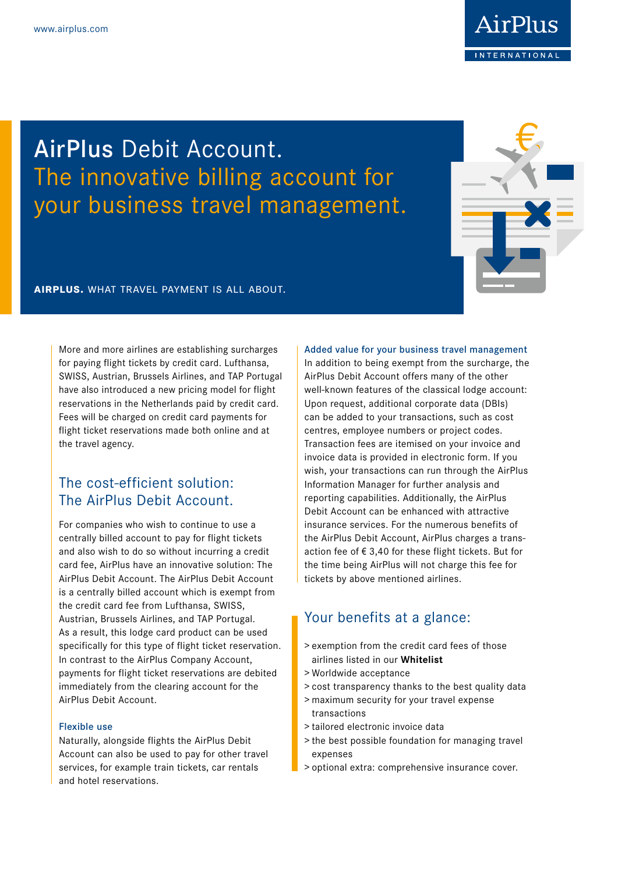

# AirPlus Debit Account. The innovative billing account for your business travel management.



## **airplus.** what travel payment is all about.

More and more airlines are establishing surcharges for paying flight tickets by credit card. Lufthansa, SWISS, Austrian, Brussels Airlines, and TAP Portugal have also introduced a new pricing model for flight reservations in the Netherlands paid by credit card. Fees will be charged on credit card payments for flight ticket reservations made both online and at the travel agency.

## The cost-efficient solution: The AirPlus Debit Account.

For companies who wish to continue to use a centrally billed account to pay for flight tickets and also wish to do so without incurring a credit card fee, AirPlus have an innovative solution: The AirPlus Debit Account. The AirPlus Debit Account is a centrally billed account which is exempt from the credit card fee from Lufthansa, SWISS, Austrian, Brussels Airlines, and TAP Portugal. As a result, this lodge card product can be used specifically for this type of flight ticket reservation. In contrast to the AirPlus Company Account, payments for flight ticket reservations are debited immediately from the clearing account for the AirPlus Debit Account.

## Flexible use

Naturally, alongside flights the AirPlus Debit Account can also be used to pay for other travel services, for example train tickets, car rentals and hotel reservations.

### Added value for your business travel management

In addition to being exempt from the surcharge, the AirPlus Debit Account offers many of the other well-known features of the classical lodge account: Upon request, additional corporate data (DBIs) can be added to your transactions, such as cost centres, employee numbers or project codes. Transaction fees are itemised on your invoice and invoice data is provided in electronic form. If you wish, your transactions can run through the AirPlus Information Manager for further analysis and reporting capabilities. Additionally, the AirPlus Debit Account can be enhanced with attractive insurance services. For the numerous benefits of the AirPlus Debit Account, AirPlus charges a transaction fee of € 3,40 for these flight tickets. But for the time being AirPlus will not charge this fee for tickets by above mentioned airlines.

## Your benefits at a glance:

- > exemption from the credit card fees of those airlines listed in our **Whitelist**
- > Worldwide acceptance
- > cost transparency thanks to the best quality data
- > maximum security for your travel expense transactions
- > tailored electronic invoice data
- > the best possible foundation for managing travel expenses
- > optional extra: comprehensive insurance cover.